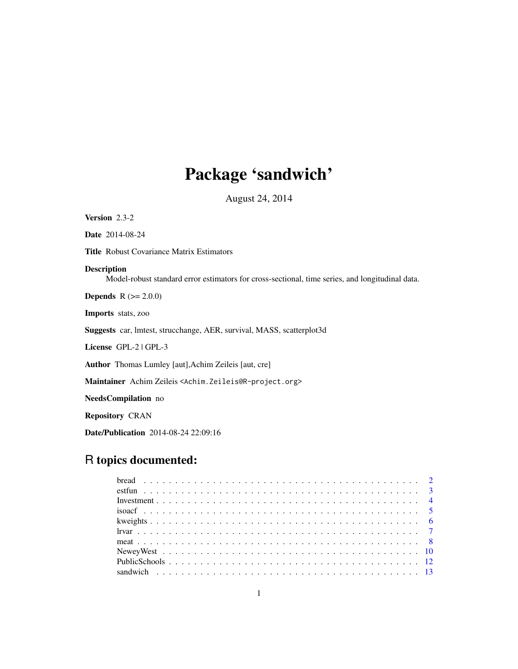# Package 'sandwich'

August 24, 2014

<span id="page-0-0"></span>Version 2.3-2

Date 2014-08-24

Title Robust Covariance Matrix Estimators

# Description

Model-robust standard error estimators for cross-sectional, time series, and longitudinal data.

**Depends**  $R (= 2.0.0)$ 

Imports stats, zoo

Suggests car, lmtest, strucchange, AER, survival, MASS, scatterplot3d

License GPL-2 | GPL-3

Author Thomas Lumley [aut],Achim Zeileis [aut, cre]

Maintainer Achim Zeileis <Achim.Zeileis@R-project.org>

NeedsCompilation no

Repository CRAN

Date/Publication 2014-08-24 22:09:16

# R topics documented:

| $\frac{1}{2}$ $\frac{1}{2}$ $\frac{1}{2}$ $\frac{1}{2}$ $\frac{1}{2}$ $\frac{1}{2}$ $\frac{1}{2}$ $\frac{1}{2}$ $\frac{1}{2}$ $\frac{1}{2}$ $\frac{1}{2}$ $\frac{1}{2}$ $\frac{1}{2}$ $\frac{1}{2}$ $\frac{1}{2}$ $\frac{1}{2}$ $\frac{1}{2}$ $\frac{1}{2}$ $\frac{1}{2}$ $\frac{1}{2}$ $\frac{1}{2}$ $\frac{1}{2}$ |  |
|---------------------------------------------------------------------------------------------------------------------------------------------------------------------------------------------------------------------------------------------------------------------------------------------------------------------|--|
|                                                                                                                                                                                                                                                                                                                     |  |
|                                                                                                                                                                                                                                                                                                                     |  |
|                                                                                                                                                                                                                                                                                                                     |  |
|                                                                                                                                                                                                                                                                                                                     |  |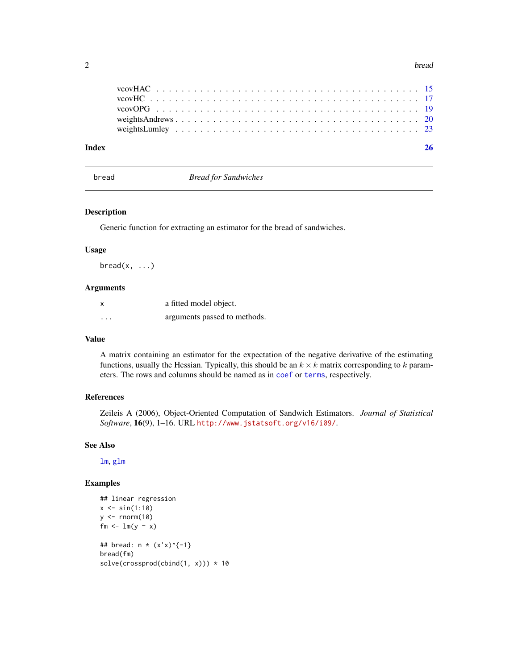#### <span id="page-1-0"></span> $2 \t\t bread$

# **Index** [26](#page-25-0)

<span id="page-1-1"></span>bread *Bread for Sandwiches*

#### Description

Generic function for extracting an estimator for the bread of sandwiches.

# Usage

 $break(x, \ldots)$ 

# Arguments

|          | a fitted model object.       |
|----------|------------------------------|
| $\cdots$ | arguments passed to methods. |

# Value

A matrix containing an estimator for the expectation of the negative derivative of the estimating functions, usually the Hessian. Typically, this should be an  $k \times k$  matrix corresponding to k parameters. The rows and columns should be named as in [coef](#page-0-0) or [terms](#page-0-0), respectively.

# References

Zeileis A (2006), Object-Oriented Computation of Sandwich Estimators. *Journal of Statistical Software*, 16(9), 1–16. URL <http://www.jstatsoft.org/v16/i09/>.

# See Also

[lm](#page-0-0), [glm](#page-0-0)

```
## linear regression
x \le -\sin(1:10)y \le - rnorm(10)
fm <- lm(y - x)## bread: n * (x'x)^{-1}
bread(fm)
solve(crossprod(cbind(1, x))) * 10
```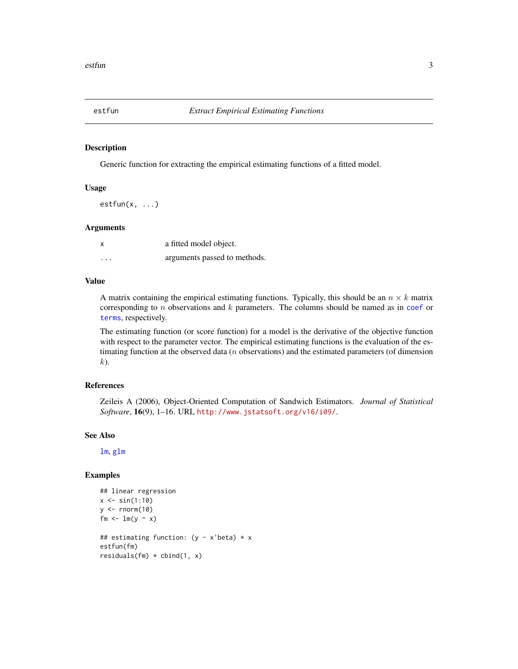<span id="page-2-1"></span><span id="page-2-0"></span>

# Description

Generic function for extracting the empirical estimating functions of a fitted model.

#### Usage

 $estfun(x, \ldots)$ 

# Arguments

| $\boldsymbol{\mathsf{x}}$ | a fitted model object.       |
|---------------------------|------------------------------|
| $\cdots$                  | arguments passed to methods. |

# Value

A matrix containing the empirical estimating functions. Typically, this should be an  $n \times k$  matrix corresponding to n observations and  $k$  parameters. The columns should be named as in [coef](#page-0-0) or [terms](#page-0-0), respectively.

The estimating function (or score function) for a model is the derivative of the objective function with respect to the parameter vector. The empirical estimating functions is the evaluation of the estimating function at the observed data  $(n$  observations) and the estimated parameters (of dimension k).

# References

Zeileis A (2006), Object-Oriented Computation of Sandwich Estimators. *Journal of Statistical Software*, 16(9), 1–16. URL <http://www.jstatsoft.org/v16/i09/>.

#### See Also

[lm](#page-0-0), [glm](#page-0-0)

```
## linear regression
x \le -\sin(1:10)y \le - rnorm(10)fm \leftarrow lm(y \sim x)
## estimating function: (y - x'beta) * x
estfun(fm)
residuals(fm) * cbind(1, x)
```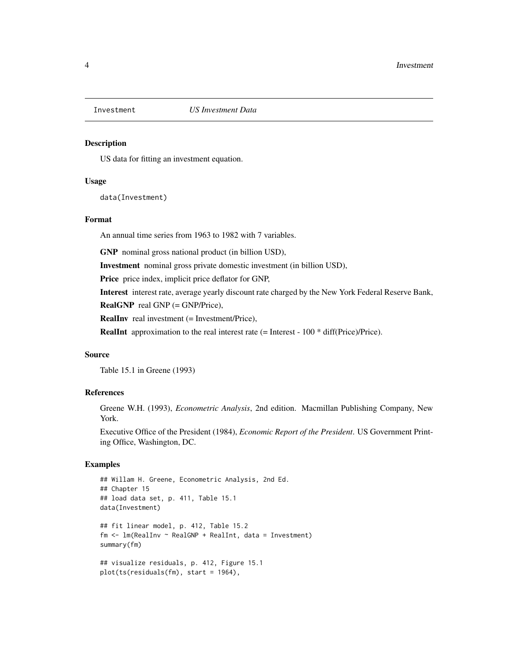<span id="page-3-0"></span>

#### Description

US data for fitting an investment equation.

#### Usage

data(Investment)

# Format

An annual time series from 1963 to 1982 with 7 variables.

GNP nominal gross national product (in billion USD),

Investment nominal gross private domestic investment (in billion USD),

Price price index, implicit price deflator for GNP,

Interest interest rate, average yearly discount rate charged by the New York Federal Reserve Bank,

RealGNP real GNP (= GNP/Price),

RealInv real investment (= Investment/Price),

**RealInt** approximation to the real interest rate  $(=$  Interest - 100  $*$  diff(Price)/Price).

#### Source

Table 15.1 in Greene (1993)

# References

Greene W.H. (1993), *Econometric Analysis*, 2nd edition. Macmillan Publishing Company, New York.

Executive Office of the President (1984), *Economic Report of the President*. US Government Printing Office, Washington, DC.

```
## Willam H. Greene, Econometric Analysis, 2nd Ed.
## Chapter 15
## load data set, p. 411, Table 15.1
data(Investment)
## fit linear model, p. 412, Table 15.2
fm <- lm(RealInv ~ RealGNP + RealInt, data = Investment)
summary(fm)
## visualize residuals, p. 412, Figure 15.1
plot(ts(residuals(fm), start = 1964),
```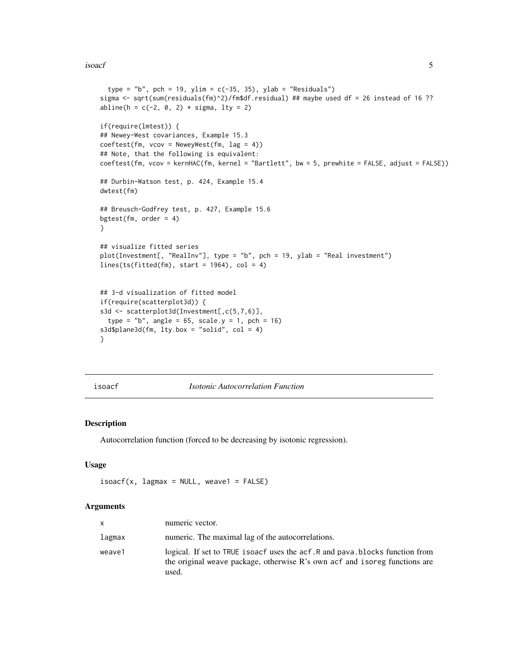#### <span id="page-4-0"></span>isoacf 5

```
type = "b", pch = 19, ylim = c(-35, 35), ylab = "Residuals")
sigma <- sqrt(sum(residuals(fm)^2)/fm$df.residual) ## maybe used df = 26 instead of 16 ??
abline(h = c(-2, 0, 2) * sigma, lty = 2)
if(require(lmtest)) {
## Newey-West covariances, Example 15.3
coeffest(fm, vcov = NeweyWest(fm, lag = 4))## Note, that the following is equivalent:
coeftest(fm, vcov = kernHAC(fm, kernel = "Bartlett", bw = 5, prewhite = FALSE, adjust = FALSE))
## Durbin-Watson test, p. 424, Example 15.4
dwtest(fm)
## Breusch-Godfrey test, p. 427, Example 15.6
bgtest(fm, order = 4)
}
## visualize fitted series
plot(Investment[, "RealInv"], type = "b", pch = 19, ylab = "Real investment")
lines(ts(fitted(fm), start = 1964), col = 4)## 3-d visualization of fitted model
if(require(scatterplot3d)) {
s3d <- scatterplot3d(Investment[,c(5,7,6)],
  type = nb'', angle = 65, scale.y = 1, pch = 16)
s3d$plane3d(fm, lty.box = "solid", col = 4)
}
```
#### <span id="page-4-1"></span>isoacf *Isotonic Autocorrelation Function*

# Description

Autocorrelation function (forced to be decreasing by isotonic regression).

# Usage

```
isoacf(x, lagmax = NULL, weave1 = FALSE)
```

| X      | numeric vector.                                                                                                                                                      |
|--------|----------------------------------------------------------------------------------------------------------------------------------------------------------------------|
| lagmax | numeric. The maximal lag of the autocorrelations.                                                                                                                    |
| weave1 | logical. If set to TRUE isoacf uses the acf. R and pava. blocks function from<br>the original weave package, otherwise R's own acf and isoreg functions are<br>used. |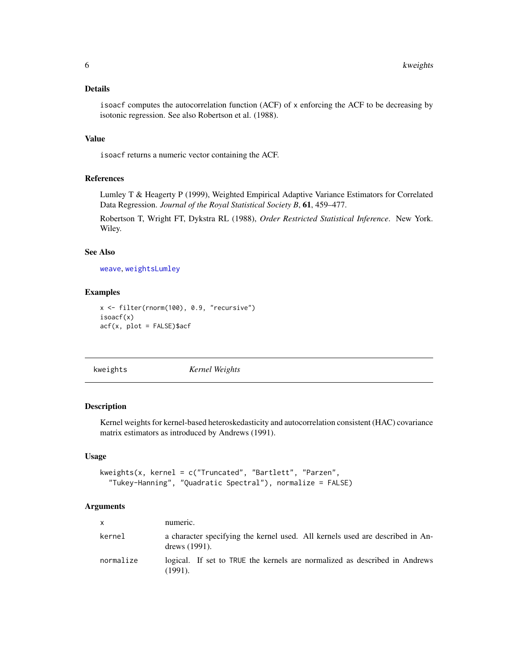<span id="page-5-0"></span>isoacf computes the autocorrelation function (ACF) of x enforcing the ACF to be decreasing by isotonic regression. See also Robertson et al. (1988).

# Value

isoacf returns a numeric vector containing the ACF.

### References

Lumley T & Heagerty P (1999), Weighted Empirical Adaptive Variance Estimators for Correlated Data Regression. *Journal of the Royal Statistical Society B*, 61, 459–477.

Robertson T, Wright FT, Dykstra RL (1988), *Order Restricted Statistical Inference*. New York. Wiley.

# See Also

[weave](#page-22-1), [weightsLumley](#page-22-2)

# Examples

```
x <- filter(rnorm(100), 0.9, "recursive")
isoacf(x)
acf(x, plot = FALSE)$acf
```
<span id="page-5-1"></span>kweights *Kernel Weights*

# Description

Kernel weights for kernel-based heteroskedasticity and autocorrelation consistent (HAC) covariance matrix estimators as introduced by Andrews (1991).

# Usage

```
kweights(x, kernel = c("Truncated", "Bartlett", "Parzen",
  "Tukey-Hanning", "Quadratic Spectral"), normalize = FALSE)
```

| $\mathsf{x}$ | numeric.                                                                                          |
|--------------|---------------------------------------------------------------------------------------------------|
| kernel       | a character specifying the kernel used. All kernels used are described in An-<br>drews $(1991)$ . |
| normalize    | logical. If set to TRUE the kernels are normalized as described in Andrews<br>$(1991)$ .          |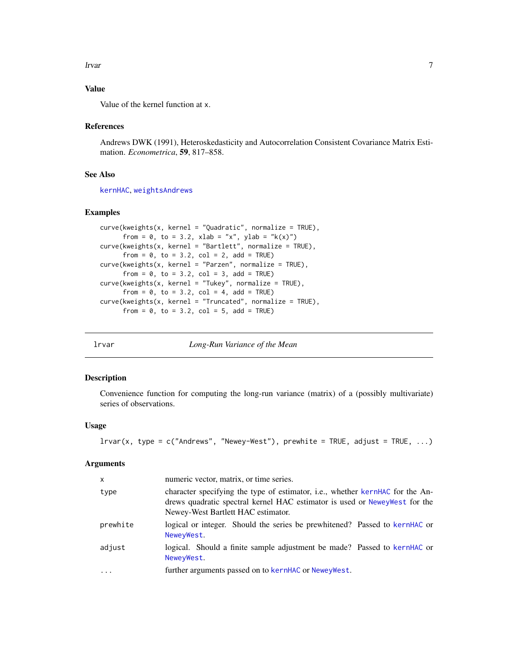#### <span id="page-6-0"></span>lrvar 77

# Value

Value of the kernel function at x.

### References

Andrews DWK (1991), Heteroskedasticity and Autocorrelation Consistent Covariance Matrix Estimation. *Econometrica*, 59, 817–858.

# See Also

[kernHAC](#page-19-1), [weightsAndrews](#page-19-2)

# Examples

```
curve(kweights(x, kernel = "Quadratic", normalize = TRUE),
     from = 0, to = 3.2, xlab = "x", ylab = "k(x)")
curve(kweights(x, kernel = "Bartlett", normalize = TRUE),
     from = 0, to = 3.2, col = 2, add = TRUE)
curve(kweights(x, kernel = "Parzen", normalize = TRUE),
     from = 0, to = 3.2, col = 3, add = TRUE)
curve(kweights(x, kernel = "Tukey", normalize = TRUE),
     from = 0, to = 3.2, col = 4, add = TRUE)
curve(kweights(x, kernel = "Truncated", normalize = TRUE),
     from = 0, to = 3.2, col = 5, add = TRUE)
```
lrvar *Long-Run Variance of the Mean*

#### Description

Convenience function for computing the long-run variance (matrix) of a (possibly multivariate) series of observations.

# Usage

 $lrvar(x, type = c("Andrews", "Newey-West"), prewhite = TRUE, adjust = TRUE, ...)$ 

| $\mathsf{x}$ | numeric vector, matrix, or time series.                                                                                                                                                           |
|--------------|---------------------------------------------------------------------------------------------------------------------------------------------------------------------------------------------------|
| type         | character specifying the type of estimator, i.e., whether kernHAC for the An-<br>drews quadratic spectral kernel HAC estimator is used or NeweyWest for the<br>Newey-West Bartlett HAC estimator. |
| prewhite     | logical or integer. Should the series be prewhitened? Passed to kernHAC or<br>NeweyWest.                                                                                                          |
| adjust       | logical. Should a finite sample adjustment be made? Passed to kernHAC or<br>NeweyWest.                                                                                                            |
| .            | further arguments passed on to kernHAC or NeweyWest.                                                                                                                                              |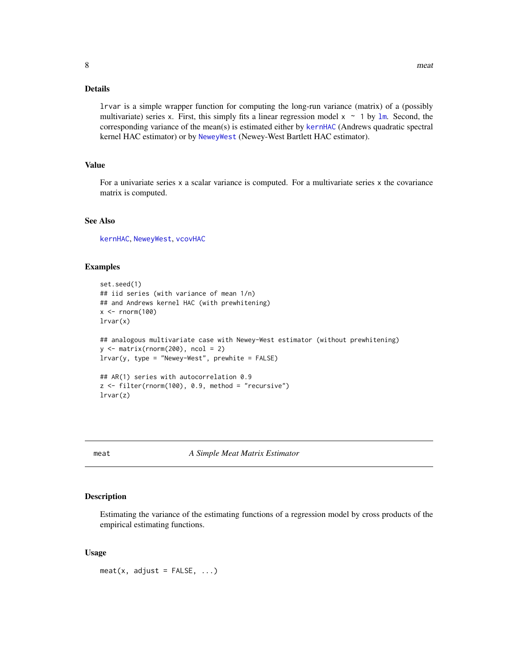<span id="page-7-0"></span>lrvar is a simple wrapper function for computing the long-run variance (matrix) of a (possibly multivariate) series x. First, this simply fits a linear regression model  $x \sim 1$  by [lm](#page-0-0). Second, the corresponding variance of the mean(s) is estimated either by [kernHAC](#page-19-1) (Andrews quadratic spectral kernel HAC estimator) or by [NeweyWest](#page-9-1) (Newey-West Bartlett HAC estimator).

#### Value

For a univariate series x a scalar variance is computed. For a multivariate series x the covariance matrix is computed.

# See Also

[kernHAC](#page-19-1), [NeweyWest](#page-9-1), [vcovHAC](#page-14-1)

### Examples

```
set.seed(1)
## iid series (with variance of mean 1/n)
## and Andrews kernel HAC (with prewhitening)
x < - rnorm(100)
lrvar(x)
## analogous multivariate case with Newey-West estimator (without prewhitening)
y \leftarrow \text{matrix}(rnorm(200), ncol = 2)lrvar(y, type = "Newey-West", prewhite = FALSE)## AR(1) series with autocorrelation 0.9
z \le filter(rnorm(100), 0.9, method = "recursive")
lrvar(z)
```
<span id="page-7-1"></span>meat *A Simple Meat Matrix Estimator*

# Description

Estimating the variance of the estimating functions of a regression model by cross products of the empirical estimating functions.

#### Usage

 $meat(x, adjust = FALSE, ...)$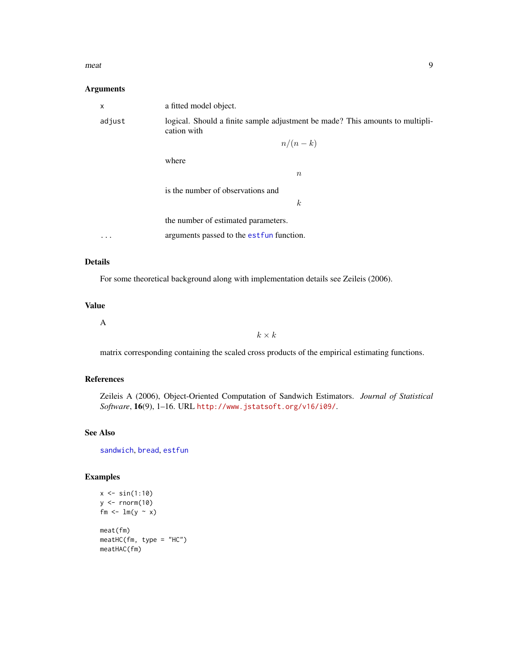#### <span id="page-8-0"></span> $\mathbf{m}$  meat  $\mathbf{9}$

# Arguments

| a fitted model object.                                                                       |
|----------------------------------------------------------------------------------------------|
| logical. Should a finite sample adjustment be made? This amounts to multipli-<br>cation with |
| $n/(n-k)$                                                                                    |
| where                                                                                        |
| $\boldsymbol{n}$                                                                             |
| is the number of observations and                                                            |
| $\boldsymbol{k}$                                                                             |
| the number of estimated parameters.                                                          |
| arguments passed to the est fun function.                                                    |
|                                                                                              |

# Details

For some theoretical background along with implementation details see Zeileis (2006).

# Value

A

 $k \times k$ 

matrix corresponding containing the scaled cross products of the empirical estimating functions.

# References

Zeileis A (2006), Object-Oriented Computation of Sandwich Estimators. *Journal of Statistical Software*, 16(9), 1–16. URL <http://www.jstatsoft.org/v16/i09/>.

# See Also

[sandwich](#page-12-1), [bread](#page-1-1), [estfun](#page-2-1)

```
x \le -\sin(1:10)y <- rnorm(10)
fm <- lm(y ~\sim~ x)
meat(fm)
meatHC(fm, type = "HC")
meatHAC(fm)
```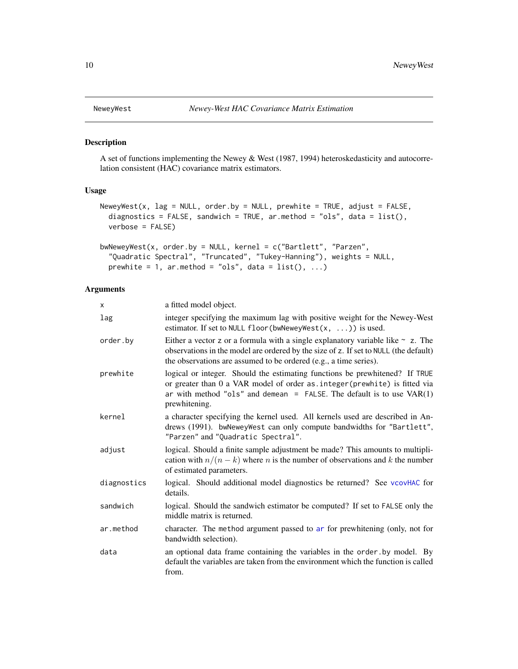<span id="page-9-1"></span><span id="page-9-0"></span>

#### Description

A set of functions implementing the Newey & West (1987, 1994) heteroskedasticity and autocorrelation consistent (HAC) covariance matrix estimators.

# Usage

```
NeweyWest(x, lag = NULL, order.by = NULL, prewhite = TRUE, adjust = FALSE,
 diagnostics = FALSE, sandwich = TRUE, ar.method = "ols", data = list(),
  verbose = FALSE)
```

```
bwNeweyWest(x, order.by = NULL, kernel = c("Bartlett", "Parzen",
  "Quadratic Spectral", "Truncated", "Tukey-Hanning"), weights = NULL,
 prewhite = 1, ar.method = "ols", data = list(), ...)
```

| X           | a fitted model object.                                                                                                                                                                                                                                 |
|-------------|--------------------------------------------------------------------------------------------------------------------------------------------------------------------------------------------------------------------------------------------------------|
| lag         | integer specifying the maximum lag with positive weight for the Newey-West<br>estimator. If set to NULL floor (bwNeweyWest $(x, \ldots)$ ) is used.                                                                                                    |
| order.by    | Either a vector z or a formula with a single explanatory variable like $\sim$ z. The<br>observations in the model are ordered by the size of z. If set to NULL (the default)<br>the observations are assumed to be ordered (e.g., a time series).      |
| prewhite    | logical or integer. Should the estimating functions be prewhitened? If TRUE<br>or greater than 0 a VAR model of order as. integer (prewhite) is fitted via<br>ar with method "ols" and demean = FALSE. The default is to use $VAR(1)$<br>prewhitening. |
| kernel      | a character specifying the kernel used. All kernels used are described in An-<br>drews (1991). bwNeweyWest can only compute bandwidths for "Bartlett",<br>"Parzen" and "Quadratic Spectral".                                                           |
| adjust      | logical. Should a finite sample adjustment be made? This amounts to multipli-<br>cation with $n/(n-k)$ where <i>n</i> is the number of observations and <i>k</i> the number<br>of estimated parameters.                                                |
| diagnostics | logical. Should additional model diagnostics be returned? See vcovHAC for<br>details.                                                                                                                                                                  |
| sandwich    | logical. Should the sandwich estimator be computed? If set to FALSE only the<br>middle matrix is returned.                                                                                                                                             |
| ar.method   | character. The method argument passed to ar for prewhitening (only, not for<br>bandwidth selection).                                                                                                                                                   |
| data        | an optional data frame containing the variables in the order by model. By<br>default the variables are taken from the environment which the function is called<br>from.                                                                                |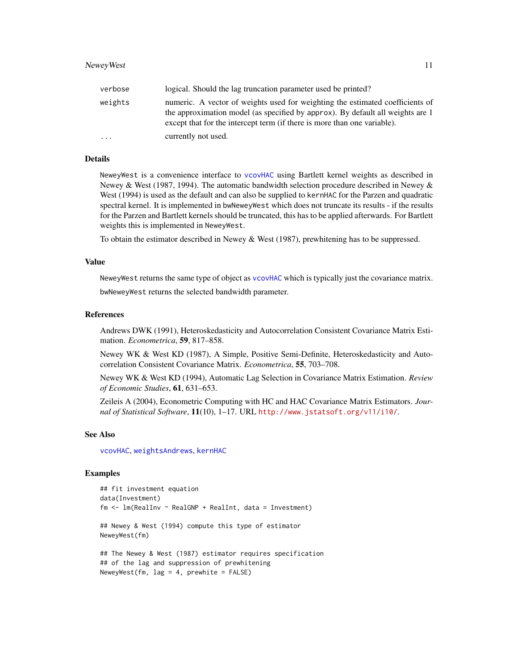<span id="page-10-0"></span>

| verbose  | logical. Should the lag truncation parameter used be printed?                                                                                                                                                                               |
|----------|---------------------------------------------------------------------------------------------------------------------------------------------------------------------------------------------------------------------------------------------|
| weights  | numeric. A vector of weights used for weighting the estimated coefficients of<br>the approximation model (as specified by approx). By default all weights are 1<br>except that for the intercept term (if there is more than one variable). |
| $\cdots$ | currently not used.                                                                                                                                                                                                                         |

NeweyWest is a convenience interface to [vcovHAC](#page-14-1) using Bartlett kernel weights as described in Newey & West (1987, 1994). The automatic bandwidth selection procedure described in Newey & West (1994) is used as the default and can also be supplied to kernHAC for the Parzen and quadratic spectral kernel. It is implemented in bwNeweyWest which does not truncate its results - if the results for the Parzen and Bartlett kernels should be truncated, this has to be applied afterwards. For Bartlett weights this is implemented in NeweyWest.

To obtain the estimator described in Newey & West (1987), prewhitening has to be suppressed.

#### Value

NeweyWest returns the same type of object as [vcovHAC](#page-14-1) which is typically just the covariance matrix.

bwNeweyWest returns the selected bandwidth parameter.

#### References

Andrews DWK (1991), Heteroskedasticity and Autocorrelation Consistent Covariance Matrix Estimation. *Econometrica*, 59, 817–858.

Newey WK & West KD (1987), A Simple, Positive Semi-Definite, Heteroskedasticity and Autocorrelation Consistent Covariance Matrix. *Econometrica*, 55, 703–708.

Newey WK & West KD (1994), Automatic Lag Selection in Covariance Matrix Estimation. *Review of Economic Studies*, 61, 631–653.

Zeileis A (2004), Econometric Computing with HC and HAC Covariance Matrix Estimators. *Journal of Statistical Software*, 11(10), 1–17. URL <http://www.jstatsoft.org/v11/i10/>.

#### See Also

[vcovHAC](#page-14-1), [weightsAndrews](#page-19-2), [kernHAC](#page-19-1)

```
## fit investment equation
data(Investment)
fm \leq Im(RealInv \sim RealGNP + RealInt, data = Investment)## Newey & West (1994) compute this type of estimator
NeweyWest(fm)
## The Newey & West (1987) estimator requires specification
## of the lag and suppression of prewhitening
NeweyWest(fm, lag = 4, prewhite = FALSE)
```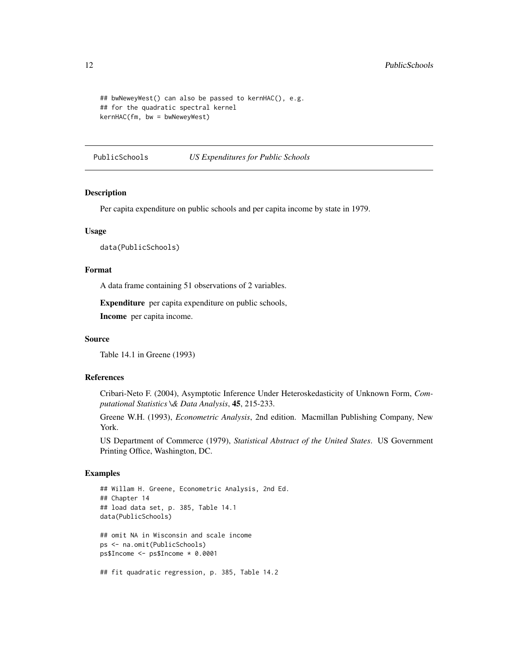```
## bwNeweyWest() can also be passed to kernHAC(), e.g.
## for the quadratic spectral kernel
kernHAC(fm, bw = bwNeweyWest)
```
PublicSchools *US Expenditures for Public Schools*

#### Description

Per capita expenditure on public schools and per capita income by state in 1979.

# Usage

```
data(PublicSchools)
```
#### Format

A data frame containing 51 observations of 2 variables.

Expenditure per capita expenditure on public schools,

Income per capita income.

# Source

Table 14.1 in Greene (1993)

# References

Cribari-Neto F. (2004), Asymptotic Inference Under Heteroskedasticity of Unknown Form, *Computational Statistics \& Data Analysis*, 45, 215-233.

Greene W.H. (1993), *Econometric Analysis*, 2nd edition. Macmillan Publishing Company, New York.

US Department of Commerce (1979), *Statistical Abstract of the United States*. US Government Printing Office, Washington, DC.

```
## Willam H. Greene, Econometric Analysis, 2nd Ed.
## Chapter 14
## load data set, p. 385, Table 14.1
data(PublicSchools)
## omit NA in Wisconsin and scale income
ps <- na.omit(PublicSchools)
ps$Income <- ps$Income * 0.0001
## fit quadratic regression, p. 385, Table 14.2
```
<span id="page-11-0"></span>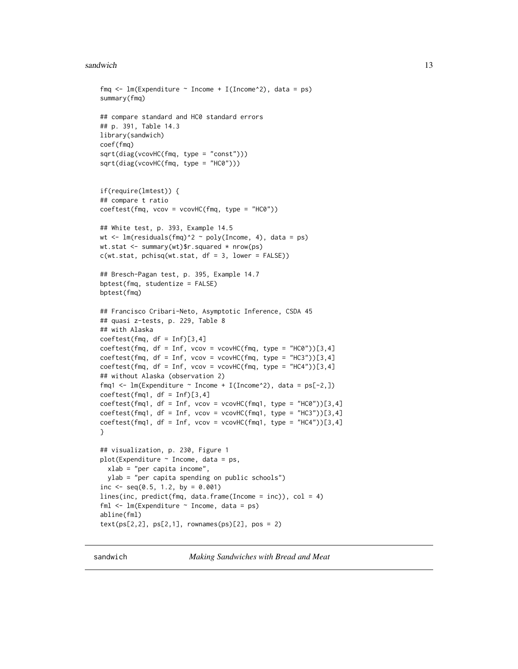#### <span id="page-12-0"></span>sandwich the contract of the contract of the contract of the contract of the contract of the contract of the contract of the contract of the contract of the contract of the contract of the contract of the contract of the c

```
fmq \leq lm(Expenditure \sim Income + I(Income^2), data = ps)
summary(fmq)
## compare standard and HC0 standard errors
## p. 391, Table 14.3
library(sandwich)
coef(fmq)
sqrt(diag(vcovHC(fmq, type = "const")))
sqrt(diag(vcovHC(fmq, type = "HC0")))
if(require(lmtest)) {
## compare t ratio
coeffest(fmq, vcov = vcovHC(fmq, type = "HCO"))## White test, p. 393, Example 14.5
wt \leq lm(residuals(fmq)^2 ~ poly(Income, 4), data = ps)
wt.stat <- summary(wt)$r.squared * nrow(ps)
c(wt.stat, \text{pchisq}(wt.stat, df = 3, \text{lower} = FALSE))## Bresch-Pagan test, p. 395, Example 14.7
bptest(fmq, studentize = FALSE)
bptest(fmq)
## Francisco Cribari-Neto, Asymptotic Inference, CSDA 45
## quasi z-tests, p. 229, Table 8
## with Alaska
coeffest(fmq, df = Inf)[3, 4]coeftest(fmq, df = Inf, vcov = vcovHC(fmq, type = "HC0"))[3,4]
coeffest(fmq, df = Inf, vcov = vcovHC(fmq, type = "HC3"))[3,4]coeffest(fmq, df = Inf, vcov = vcovHC(fmq, type = "HC4"))[3,4]## without Alaska (observation 2)
fmq1 <- lm(Expenditure \sim Income + I(Income^2), data = ps[-2,])
coeffest(fmq1, df = Inf)[3, 4]coeffest(fmq1, df = Inf, vcov = vcovHC(fmq1, type = "HCO"))[3,4]coeffest(fmq1, df = Inf, vcov = vcovHC(fmq1, type = "HC3"))[3,4]coeffest(fmq1, df = Inf, vcov = vcovHC(fmq1, type = "HC4"))[3, 4]}
## visualization, p. 230, Figure 1
plot(Expenditure ~ Income, data = ps,xlab = "per capita income",
  ylab = "per capita spending on public schools")
inc \leq seq(0.5, 1.2, by = 0.001)
lines(inc, predict(fmq, data.frame(Income = inc)), col = 4)
fml \leq lm(Expenditure \sim Income, data = ps)
abline(fml)
text(ps[2,2], ps[2,1], rownames(ps)[2], pos = 2)
```
<span id="page-12-1"></span>sandwich *Making Sandwiches with Bread and Meat*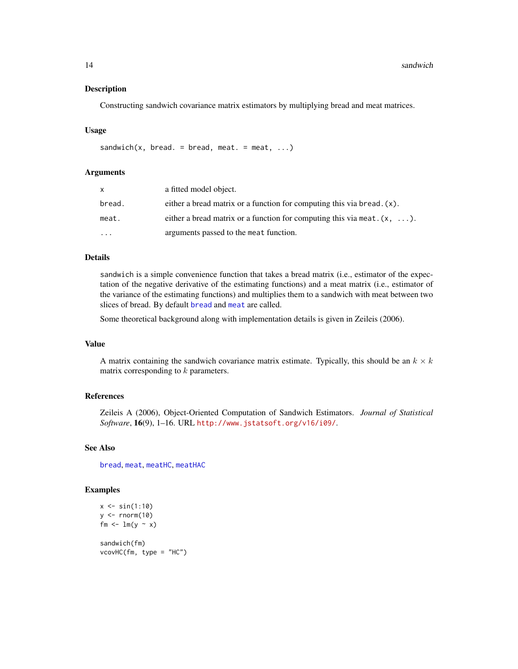#### <span id="page-13-0"></span>Description

Constructing sandwich covariance matrix estimators by multiplying bread and meat matrices.

# Usage

sandwich(x, bread. = bread, meat. = meat,  $\ldots$ )

# Arguments

| X        | a fitted model object.                                                           |
|----------|----------------------------------------------------------------------------------|
| bread.   | either a bread matrix or a function for computing this via bread. $(x)$ .        |
| meat.    | either a bread matrix or a function for computing this via meat. $(x, \ldots)$ . |
| $\cdots$ | arguments passed to the meat function.                                           |

# Details

sandwich is a simple convenience function that takes a bread matrix (i.e., estimator of the expectation of the negative derivative of the estimating functions) and a meat matrix (i.e., estimator of the variance of the estimating functions) and multiplies them to a sandwich with meat between two slices of bread. By default [bread](#page-1-1) and [meat](#page-7-1) are called.

Some theoretical background along with implementation details is given in Zeileis (2006).

# Value

A matrix containing the sandwich covariance matrix estimate. Typically, this should be an  $k \times k$ matrix corresponding to  $k$  parameters.

#### References

Zeileis A (2006), Object-Oriented Computation of Sandwich Estimators. *Journal of Statistical Software*, 16(9), 1–16. URL <http://www.jstatsoft.org/v16/i09/>.

#### See Also

[bread](#page-1-1), [meat](#page-7-1), [meatHC](#page-16-1), [meatHAC](#page-14-2)

```
x \le -\sin(1:10)y \leftarrow \text{norm}(10)fm <- lm(y - x)sandwich(fm)
vcovHC(fm, type = "HC")
```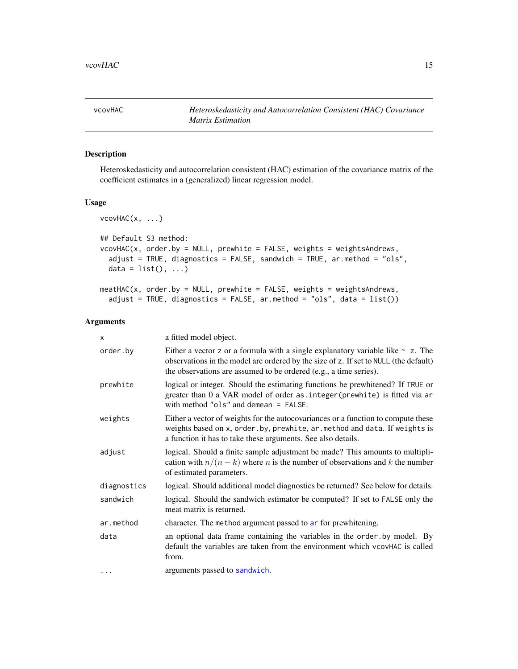<span id="page-14-1"></span><span id="page-14-0"></span>

# <span id="page-14-2"></span>Description

Heteroskedasticity and autocorrelation consistent (HAC) estimation of the covariance matrix of the coefficient estimates in a (generalized) linear regression model.

#### Usage

```
vcovHAC(x, ...)
## Default S3 method:
vcovHAC(x, order.by = NULL, prewhite = FALSE, weights = weightsAndrews,
  adjust = TRUE, diagnostics = FALSE, sandwich = TRUE, ar.method = "ols",
 data = list(), ...)meathAC(x, order.by = NULL, prewhite = FALSE, weights = weightsAndrews,
  adjust = TRUE, diagnostics = FALSE, ar.method = "ols", data = list())
```

| x           | a fitted model object.                                                                                                                                                                                                                            |
|-------------|---------------------------------------------------------------------------------------------------------------------------------------------------------------------------------------------------------------------------------------------------|
| order.by    | Either a vector z or a formula with a single explanatory variable like $\sim$ z. The<br>observations in the model are ordered by the size of z. If set to NULL (the default)<br>the observations are assumed to be ordered (e.g., a time series). |
| prewhite    | logical or integer. Should the estimating functions be prewhitened? If TRUE or<br>greater than 0 a VAR model of order as . integer (prewhite) is fitted via ar<br>with method " $ols$ " and demean = FALSE.                                       |
| weights     | Either a vector of weights for the autocovariances or a function to compute these<br>weights based on x, order.by, prewhite, ar.method and data. If weights is<br>a function it has to take these arguments. See also details.                    |
| adjust      | logical. Should a finite sample adjustment be made? This amounts to multipli-<br>cation with $n/(n-k)$ where <i>n</i> is the number of observations and <i>k</i> the number<br>of estimated parameters.                                           |
| diagnostics | logical. Should additional model diagnostics be returned? See below for details.                                                                                                                                                                  |
| sandwich    | logical. Should the sandwich estimator be computed? If set to FALSE only the<br>meat matrix is returned.                                                                                                                                          |
| ar.method   | character. The method argument passed to ar for prewhitening.                                                                                                                                                                                     |
| data        | an optional data frame containing the variables in the order by model. By<br>default the variables are taken from the environment which vcovHAC is called<br>from.                                                                                |
| $\cdots$    | arguments passed to sandwich.                                                                                                                                                                                                                     |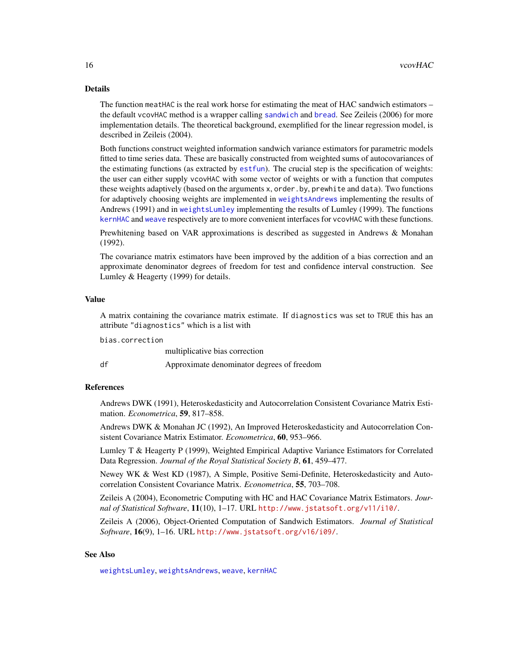<span id="page-15-0"></span>The function meatHAC is the real work horse for estimating the meat of HAC sandwich estimators – the default vcovHAC method is a wrapper calling [sandwich](#page-12-1) and [bread](#page-1-1). See Zeileis (2006) for more implementation details. The theoretical background, exemplified for the linear regression model, is described in Zeileis (2004).

Both functions construct weighted information sandwich variance estimators for parametric models fitted to time series data. These are basically constructed from weighted sums of autocovariances of the estimating functions (as extracted by [estfun](#page-2-1)). The crucial step is the specification of weights: the user can either supply vcovHAC with some vector of weights or with a function that computes these weights adaptively (based on the arguments x, order.by, prewhite and data). Two functions for adaptively choosing weights are implemented in [weightsAndrews](#page-19-2) implementing the results of Andrews (1991) and in [weightsLumley](#page-22-2) implementing the results of Lumley (1999). The functions [kernHAC](#page-19-1) and [weave](#page-22-1) respectively are to more convenient interfaces for vcovHAC with these functions.

Prewhitening based on VAR approximations is described as suggested in Andrews & Monahan (1992).

The covariance matrix estimators have been improved by the addition of a bias correction and an approximate denominator degrees of freedom for test and confidence interval construction. See Lumley & Heagerty (1999) for details.

#### Value

A matrix containing the covariance matrix estimate. If diagnostics was set to TRUE this has an attribute "diagnostics" which is a list with

bias.correction

|    | multiplicative bias correction             |
|----|--------------------------------------------|
| df | Approximate denominator degrees of freedom |

#### References

Andrews DWK (1991), Heteroskedasticity and Autocorrelation Consistent Covariance Matrix Estimation. *Econometrica*, 59, 817–858.

Andrews DWK & Monahan JC (1992), An Improved Heteroskedasticity and Autocorrelation Consistent Covariance Matrix Estimator. *Econometrica*, 60, 953–966.

Lumley T & Heagerty P (1999), Weighted Empirical Adaptive Variance Estimators for Correlated Data Regression. *Journal of the Royal Statistical Society B*, 61, 459–477.

Newey WK & West KD (1987), A Simple, Positive Semi-Definite, Heteroskedasticity and Autocorrelation Consistent Covariance Matrix. *Econometrica*, 55, 703–708.

Zeileis A (2004), Econometric Computing with HC and HAC Covariance Matrix Estimators. *Journal of Statistical Software*, 11(10), 1–17. URL <http://www.jstatsoft.org/v11/i10/>.

Zeileis A (2006), Object-Oriented Computation of Sandwich Estimators. *Journal of Statistical Software*, 16(9), 1–16. URL <http://www.jstatsoft.org/v16/i09/>.

## See Also

[weightsLumley](#page-22-2), [weightsAndrews](#page-19-2), [weave](#page-22-1), [kernHAC](#page-19-1)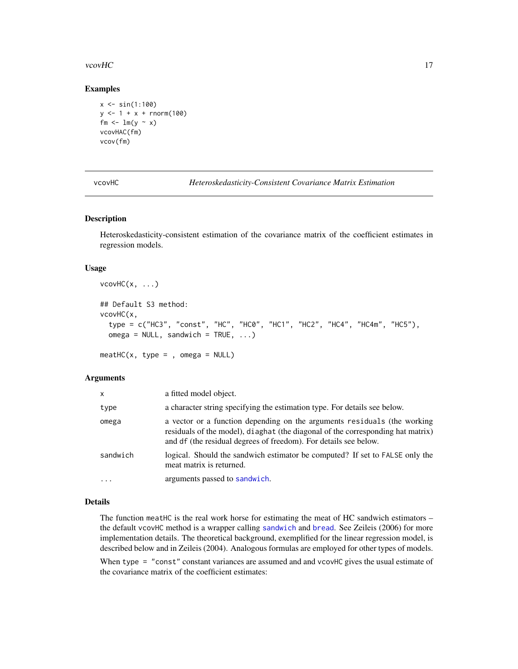#### <span id="page-16-0"></span>vcovHC 17

#### Examples

```
x \le -\sin(1:100)y \le -1 + x + \text{rnorm}(100)fm \leftarrow lm(y \sim x)
vcovHAC(fm)
vcov(fm)
```
vcovHC *Heteroskedasticity-Consistent Covariance Matrix Estimation*

# <span id="page-16-1"></span>Description

Heteroskedasticity-consistent estimation of the covariance matrix of the coefficient estimates in regression models.

# Usage

```
vcovHC(x, \ldots)## Default S3 method:
vcovHC(x,
  type = c("HC3", "const", "HC", "HC0", "HC1", "HC2", "HC4", "HC4m", "HC5"),
  omega = NULL, sandwich = TRUE, ...)
meatHC(x, type = , omega = NULL)
```
#### Arguments

| X         | a fitted model object.                                                                                                                                                                                                          |
|-----------|---------------------------------------------------------------------------------------------------------------------------------------------------------------------------------------------------------------------------------|
| type      | a character string specifying the estimation type. For details see below.                                                                                                                                                       |
| omega     | a vector or a function depending on the arguments residuals (the working<br>residuals of the model), diaghat (the diagonal of the corresponding hat matrix)<br>and df (the residual degrees of freedom). For details see below. |
| sandwich  | logical. Should the sandwich estimator be computed? If set to FALSE only the<br>meat matrix is returned.                                                                                                                        |
| $\ddotsc$ | arguments passed to sandwich.                                                                                                                                                                                                   |

# Details

The function meatHC is the real work horse for estimating the meat of HC sandwich estimators – the default vcovHC method is a wrapper calling [sandwich](#page-12-1) and [bread](#page-1-1). See Zeileis (2006) for more implementation details. The theoretical background, exemplified for the linear regression model, is described below and in Zeileis (2004). Analogous formulas are employed for other types of models.

When type = "const" constant variances are assumed and and vcovHC gives the usual estimate of the covariance matrix of the coefficient estimates: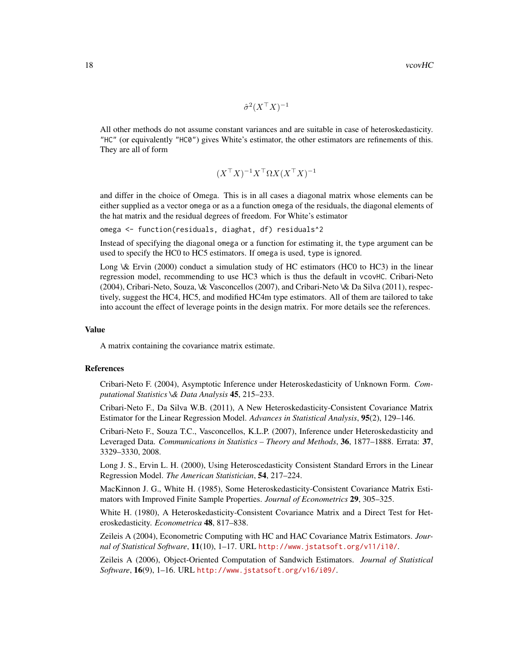$\hat{\sigma}^2 (X^{\top} X)^{-1}$ 

All other methods do not assume constant variances and are suitable in case of heteroskedasticity. "HC" (or equivalently "HC0") gives White's estimator, the other estimators are refinements of this. They are all of form

$$
(X^{\top}X)^{-1}X^{\top}\Omega X(X^{\top}X)^{-1}
$$

and differ in the choice of Omega. This is in all cases a diagonal matrix whose elements can be either supplied as a vector omega or as a a function omega of the residuals, the diagonal elements of the hat matrix and the residual degrees of freedom. For White's estimator

omega <- function(residuals, diaghat, df) residuals^2

Instead of specifying the diagonal omega or a function for estimating it, the type argument can be used to specify the HC0 to HC5 estimators. If omega is used, type is ignored.

Long \& Ervin (2000) conduct a simulation study of HC estimators (HC0 to HC3) in the linear regression model, recommending to use HC3 which is thus the default in vcovHC. Cribari-Neto (2004), Cribari-Neto, Souza, \& Vasconcellos (2007), and Cribari-Neto \& Da Silva (2011), respectively, suggest the HC4, HC5, and modified HC4m type estimators. All of them are tailored to take into account the effect of leverage points in the design matrix. For more details see the references.

### Value

A matrix containing the covariance matrix estimate.

#### References

Cribari-Neto F. (2004), Asymptotic Inference under Heteroskedasticity of Unknown Form. *Computational Statistics \& Data Analysis* 45, 215–233.

Cribari-Neto F., Da Silva W.B. (2011), A New Heteroskedasticity-Consistent Covariance Matrix Estimator for the Linear Regression Model. *Advances in Statistical Analysis*, 95(2), 129–146.

Cribari-Neto F., Souza T.C., Vasconcellos, K.L.P. (2007), Inference under Heteroskedasticity and Leveraged Data. *Communications in Statistics – Theory and Methods*, 36, 1877–1888. Errata: 37, 3329–3330, 2008.

Long J. S., Ervin L. H. (2000), Using Heteroscedasticity Consistent Standard Errors in the Linear Regression Model. *The American Statistician*, 54, 217–224.

MacKinnon J. G., White H. (1985), Some Heteroskedasticity-Consistent Covariance Matrix Estimators with Improved Finite Sample Properties. *Journal of Econometrics* 29, 305–325.

White H. (1980), A Heteroskedasticity-Consistent Covariance Matrix and a Direct Test for Heteroskedasticity. *Econometrica* 48, 817–838.

Zeileis A (2004), Econometric Computing with HC and HAC Covariance Matrix Estimators. *Journal of Statistical Software*, 11(10), 1–17. URL <http://www.jstatsoft.org/v11/i10/>.

Zeileis A (2006), Object-Oriented Computation of Sandwich Estimators. *Journal of Statistical Software*, 16(9), 1–16. URL <http://www.jstatsoft.org/v16/i09/>.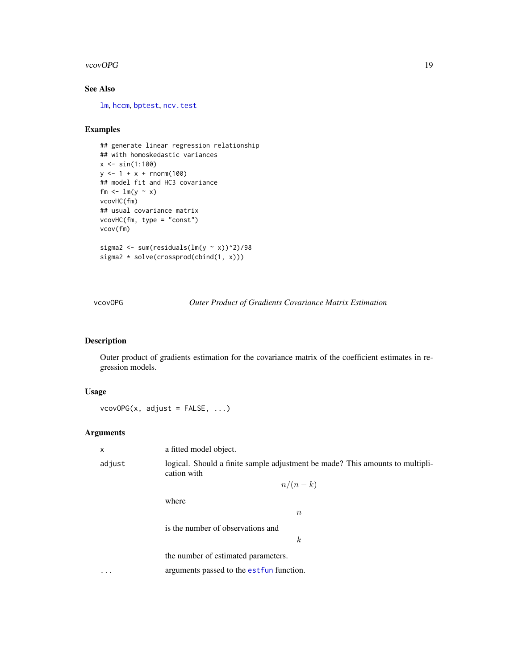#### <span id="page-18-0"></span>vcovOPG and the set of the set of the set of the set of the set of the set of the set of the set of the set of the set of the set of the set of the set of the set of the set of the set of the set of the set of the set of t

# See Also

[lm](#page-0-0), [hccm](#page-0-0), [bptest](#page-0-0), [ncv.test](#page-0-0)

# Examples

```
## generate linear regression relationship
## with homoskedastic variances
x \le -\sin(1:100)y \le -1 + x + \text{norm}(100)## model fit and HC3 covariance
fm \leftarrow lm(y \sim x)
vcovHC(fm)
## usual covariance matrix
vcovHC(fm, type = "const")
vcov(fm)
sigma2 <- sum(residuals(lm(y \sim x))^2)/98
sigma2 * solve(crossprod(cbind(1, x)))
```
vcovOPG *Outer Product of Gradients Covariance Matrix Estimation*

#### Description

Outer product of gradients estimation for the covariance matrix of the coefficient estimates in regression models.

# Usage

 $vcovOPG(x, adjust = FALSE, ...)$ 

# Arguments

x a fitted model object. adjust logical. Should a finite sample adjustment be made? This amounts to multiplication with  $n/(n-k)$ where  $\overline{n}$ is the number of observations and k the number of estimated parameters. ... arguments passed to the est fun function.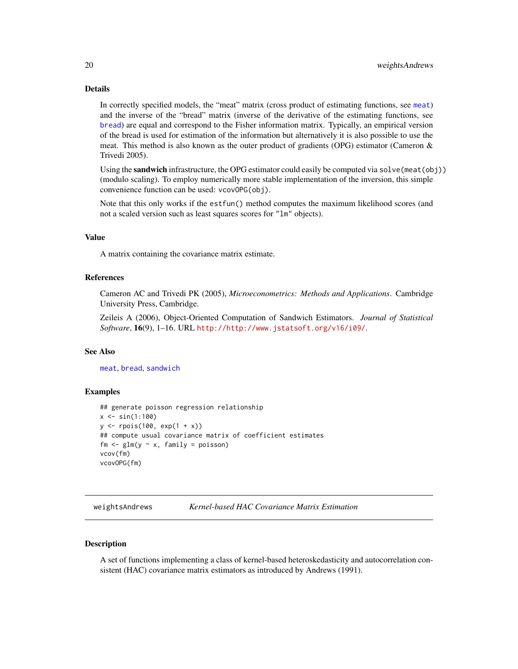<span id="page-19-0"></span>In correctly specified models, the "meat" matrix (cross product of estimating functions, see [meat](#page-7-1)) and the inverse of the "bread" matrix (inverse of the derivative of the estimating functions, see [bread](#page-1-1)) are equal and correspond to the Fisher information matrix. Typically, an empirical version of the bread is used for estimation of the information but alternatively it is also possible to use the meat. This method is also known as the outer product of gradients (OPG) estimator (Cameron  $\&$ Trivedi 2005).

Using the sandwich infrastructure, the OPG estimator could easily be computed via  $solve(meat(obj))$ (modulo scaling). To employ numerically more stable implementation of the inversion, this simple convenience function can be used: vcovOPG(obj).

Note that this only works if the estfun() method computes the maximum likelihood scores (and not a scaled version such as least squares scores for "lm" objects).

# Value

A matrix containing the covariance matrix estimate.

#### References

Cameron AC and Trivedi PK (2005), *Microeconometrics: Methods and Applications*. Cambridge University Press, Cambridge.

Zeileis A (2006), Object-Oriented Computation of Sandwich Estimators. *Journal of Statistical Software*, 16(9), 1–16. URL <http://http://www.jstatsoft.org/v16/i09/>.

# See Also

[meat](#page-7-1), [bread](#page-1-1), [sandwich](#page-12-1)

#### Examples

```
## generate poisson regression relationship
x \le -\sin(1:100)y <- rpois(100, exp(1 + x))
## compute usual covariance matrix of coefficient estimates
fm \leq glm(y \sim x, family = poisson)
vcov(fm)
vcovOPG(fm)
```
<span id="page-19-2"></span>weightsAndrews *Kernel-based HAC Covariance Matrix Estimation*

# <span id="page-19-1"></span>Description

A set of functions implementing a class of kernel-based heteroskedasticity and autocorrelation consistent (HAC) covariance matrix estimators as introduced by Andrews (1991).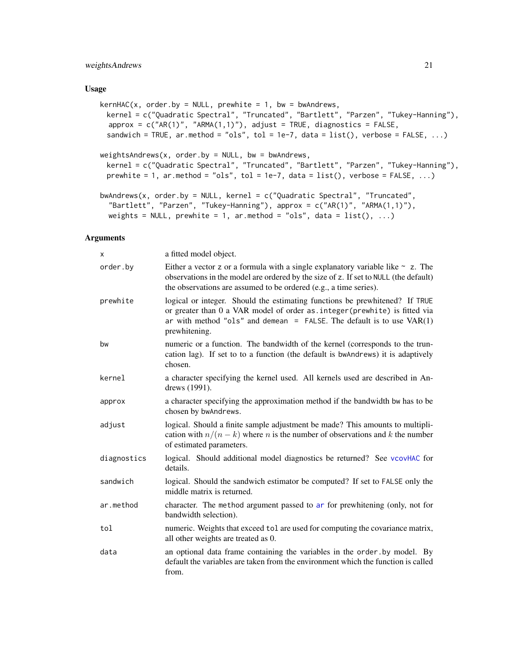# <span id="page-20-0"></span>weightsAndrews 21

#### Usage

```
kernHAC(x, order.py = NULL, prewhite = 1, bw = bwandrews,kernel = c("Quadratic Spectral", "Truncated", "Bartlett", "Parzen", "Tukey-Hanning"),
 approx = c("AR(1)", "ARMA(1,1)", adyust = TRUE, diagnostics = FALSE,sandwich = TRUE, ar.method = "ols", tol = 1e-7, data = list(), verbose = FALSE, ...)
weightsAndrews(x, order.by = NULL, bw = bwAndrews,
 kernel = c("Quadratic Spectral", "Truncated", "Bartlett", "Parzen", "Tukey-Hanning"),
 prewhite = 1, ar.method = "ols", tol = 1e-7, data = list(), verbose = FALSE, \ldots)
bwAndrews(x, order.by = NULL, kernel = c("Quadratic Spectral", "Truncated",
  "Bartlett", "Parzen", "Tukey-Hanning"), approx = c("AR(1)", "ARMA(1,1)"),
 weights = NULL, prewhite = 1, ar.method = "ols", data = list(), ...)
```

| x           | a fitted model object.                                                                                                                                                                                                                                 |
|-------------|--------------------------------------------------------------------------------------------------------------------------------------------------------------------------------------------------------------------------------------------------------|
| order.by    | Either a vector z or a formula with a single explanatory variable like $\sim$ z. The<br>observations in the model are ordered by the size of z. If set to NULL (the default)<br>the observations are assumed to be ordered (e.g., a time series).      |
| prewhite    | logical or integer. Should the estimating functions be prewhitened? If TRUE<br>or greater than 0 a VAR model of order as. integer (prewhite) is fitted via<br>ar with method "ols" and demean = FALSE. The default is to use $VAR(1)$<br>prewhitening. |
| bw          | numeric or a function. The bandwidth of the kernel (corresponds to the trun-<br>cation lag). If set to to a function (the default is bwAndrews) it is adaptively<br>chosen.                                                                            |
| kernel      | a character specifying the kernel used. All kernels used are described in An-<br>drews (1991).                                                                                                                                                         |
| approx      | a character specifying the approximation method if the bandwidth bw has to be<br>chosen by bwAndrews.                                                                                                                                                  |
| adjust      | logical. Should a finite sample adjustment be made? This amounts to multipli-<br>cation with $n/(n-k)$ where <i>n</i> is the number of observations and <i>k</i> the number<br>of estimated parameters.                                                |
| diagnostics | logical. Should additional model diagnostics be returned? See vcovHAC for<br>details.                                                                                                                                                                  |
| sandwich    | logical. Should the sandwich estimator be computed? If set to FALSE only the<br>middle matrix is returned.                                                                                                                                             |
| ar.method   | character. The method argument passed to ar for prewhitening (only, not for<br>bandwidth selection).                                                                                                                                                   |
| tol         | numeric. Weights that exceed tol are used for computing the covariance matrix,<br>all other weights are treated as 0.                                                                                                                                  |
| data        | an optional data frame containing the variables in the order by model. By<br>default the variables are taken from the environment which the function is called<br>from.                                                                                |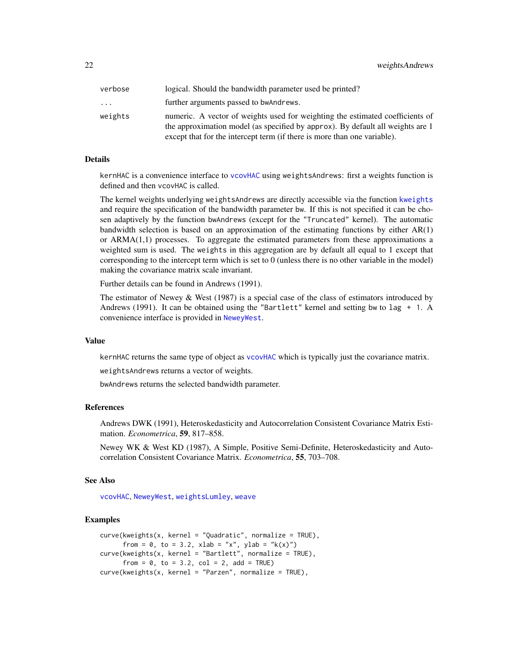<span id="page-21-0"></span>22 weightsAndrews

| verbose | logical. Should the bandwidth parameter used be printed?                                                                                                                                                                                    |
|---------|---------------------------------------------------------------------------------------------------------------------------------------------------------------------------------------------------------------------------------------------|
| .       | further arguments passed to bwAndrews.                                                                                                                                                                                                      |
| weights | numeric. A vector of weights used for weighting the estimated coefficients of<br>the approximation model (as specified by approx). By default all weights are 1<br>except that for the intercept term (if there is more than one variable). |

# Details

kernHAC is a convenience interface to [vcovHAC](#page-14-1) using weightsAndrews: first a weights function is defined and then vcovHAC is called.

The kernel weights underlying weightsAndrews are directly accessible via the function [kweights](#page-5-1) and require the specification of the bandwidth parameter bw. If this is not specified it can be chosen adaptively by the function bwAndrews (except for the "Truncated" kernel). The automatic bandwidth selection is based on an approximation of the estimating functions by either  $AR(1)$ or  $ARMA(1,1)$  processes. To aggregate the estimated parameters from these approximations a weighted sum is used. The weights in this aggregation are by default all equal to 1 except that corresponding to the intercept term which is set to 0 (unless there is no other variable in the model) making the covariance matrix scale invariant.

Further details can be found in Andrews (1991).

The estimator of Newey  $&$  West (1987) is a special case of the class of estimators introduced by Andrews (1991). It can be obtained using the "Bartlett" kernel and setting bw to lag + 1. A convenience interface is provided in [NeweyWest](#page-9-1).

#### Value

kernHAC returns the same type of object as [vcovHAC](#page-14-1) which is typically just the covariance matrix.

weightsAndrews returns a vector of weights.

bwAndrews returns the selected bandwidth parameter.

#### References

Andrews DWK (1991), Heteroskedasticity and Autocorrelation Consistent Covariance Matrix Estimation. *Econometrica*, 59, 817–858.

Newey WK & West KD (1987), A Simple, Positive Semi-Definite, Heteroskedasticity and Autocorrelation Consistent Covariance Matrix. *Econometrica*, 55, 703–708.

#### See Also

[vcovHAC](#page-14-1), [NeweyWest](#page-9-1), [weightsLumley](#page-22-2), [weave](#page-22-1)

```
curve(kweights(x, kernet = "Quadratic", normalize = TRUE),from = 0, to = 3.2, xlab = "x", ylab = "k(x)")
curve(kweights(x, kernel = "Bartlett", normalize = TRUE),
     from = 0, to = 3.2, col = 2, add = TRUE)
curve(kweights(x, kernet = "Parzen", normalize = TRUE),
```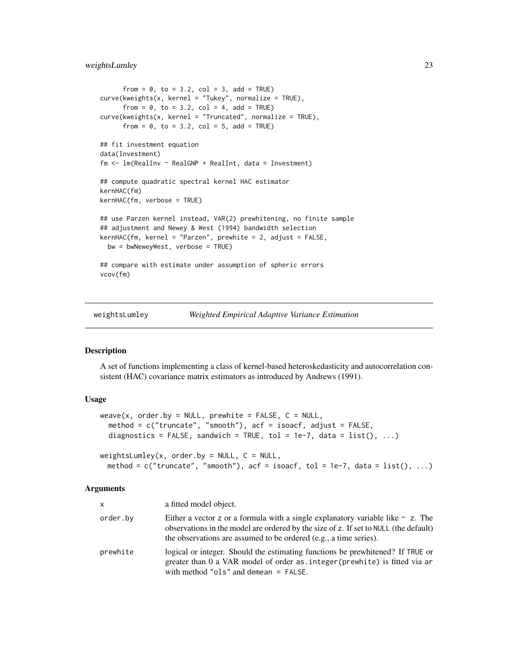# <span id="page-22-0"></span>weightsLumley 23

```
from = 0, to = 3.2, col = 3, add = TRUE)
curve(kweights(x, kernel = "Tukey", normalize = TRUE),
      from = 0, to = 3.2, col = 4, add = TRUE)
curve(kweights(x, kernet = "Truncated", normalize = TRUE),from = 0, to = 3.2, col = 5, add = TRUE)
## fit investment equation
data(Investment)
fm \leq \text{Im}(\text{RealInv} \sim \text{RealGNP} + \text{RealInt}, \text{data} = \text{Investment})## compute quadratic spectral kernel HAC estimator
kernHAC(fm)
kernHAC(fm, verbose = TRUE)
## use Parzen kernel instead, VAR(2) prewhitening, no finite sample
## adjustment and Newey & West (1994) bandwidth selection
kernHAC(fm, kernel = "Parzen", prewhite = 2, adjust = FALSE,
 bw = bwNeweyWest, verbose = TRUE)
## compare with estimate under assumption of spheric errors
vcov(fm)
```
<span id="page-22-2"></span>weightsLumley *Weighted Empirical Adaptive Variance Estimation*

# <span id="page-22-1"></span>Description

A set of functions implementing a class of kernel-based heteroskedasticity and autocorrelation consistent (HAC) covariance matrix estimators as introduced by Andrews (1991).

# Usage

```
weave(x, order.by = NULL, prewhite = FALSE, C = NULL,method = c("truncate", "smooth"), acf = isoacf, adjust = FALSE,
  diagnostics = FALSE, sandwich = TRUE, tol = 1e-7, data = list(), ...)
weightsLumley(x, order.by = NULL, C = NULL,method = c("truncated", "smooth"), \text{ } act = 1soacf, tol = 1e-7, data = list(), ...)
```

| <b>X</b> | a fitted model object.                                                                                                                                                                                                                            |
|----------|---------------------------------------------------------------------------------------------------------------------------------------------------------------------------------------------------------------------------------------------------|
| order.by | Either a vector z or a formula with a single explanatory variable like $\sim$ z. The<br>observations in the model are ordered by the size of z. If set to NULL (the default)<br>the observations are assumed to be ordered (e.g., a time series). |
| prewhite | logical or integer. Should the estimating functions be prewhitened? If TRUE or<br>greater than 0 a VAR model of order as integer (prewhite) is fitted via ar<br>with method "ols" and demean $=$ FALSE.                                           |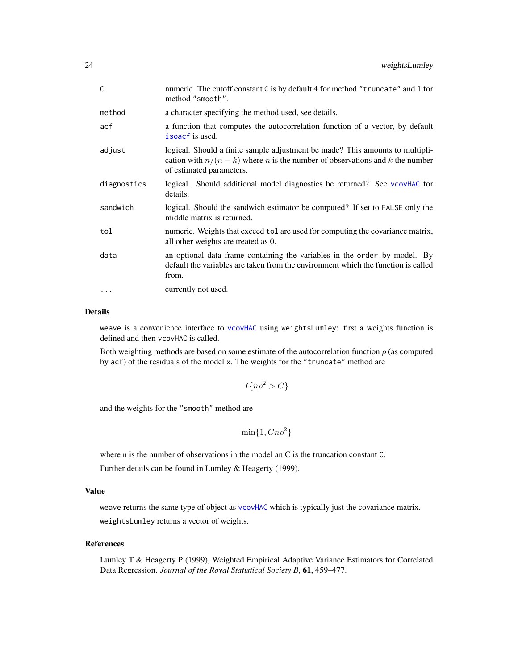<span id="page-23-0"></span>

| $\mathsf C$ | numeric. The cutoff constant C is by default 4 for method "truncate" and 1 for<br>method "smooth".                                                                                                      |
|-------------|---------------------------------------------------------------------------------------------------------------------------------------------------------------------------------------------------------|
| method      | a character specifying the method used, see details.                                                                                                                                                    |
| acf         | a function that computes the autocorrelation function of a vector, by default<br>isoacf is used.                                                                                                        |
| adjust      | logical. Should a finite sample adjustment be made? This amounts to multipli-<br>cation with $n/(n-k)$ where <i>n</i> is the number of observations and <i>k</i> the number<br>of estimated parameters. |
| diagnostics | logical. Should additional model diagnostics be returned? See vcovHAC for<br>details.                                                                                                                   |
| sandwich    | logical. Should the sandwich estimator be computed? If set to FALSE only the<br>middle matrix is returned.                                                                                              |
| tol         | numeric. Weights that exceed tol are used for computing the covariance matrix,<br>all other weights are treated as 0.                                                                                   |
| data        | an optional data frame containing the variables in the order by model. By<br>default the variables are taken from the environment which the function is called<br>from.                                 |
| $\cdots$    | currently not used.                                                                                                                                                                                     |

weave is a convenience interface to [vcovHAC](#page-14-1) using weightsLumley: first a weights function is defined and then vcovHAC is called.

Both weighting methods are based on some estimate of the autocorrelation function  $\rho$  (as computed by acf) of the residuals of the model x. The weights for the "truncate" method are

$$
I\{n\rho^2 > C\}
$$

and the weights for the "smooth" method are

$$
\min\{1, Cn\rho^2\}
$$

where n is the number of observations in the model an C is the truncation constant C.

Further details can be found in Lumley & Heagerty (1999).

# Value

weave returns the same type of object as [vcovHAC](#page-14-1) which is typically just the covariance matrix. weightsLumley returns a vector of weights.

# References

Lumley T & Heagerty P (1999), Weighted Empirical Adaptive Variance Estimators for Correlated Data Regression. *Journal of the Royal Statistical Society B*, 61, 459–477.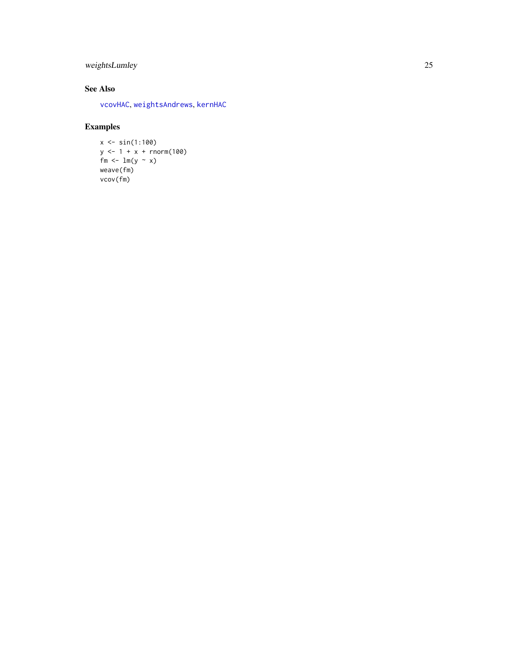# <span id="page-24-0"></span>weightsLumley 25

# See Also

[vcovHAC](#page-14-1) , [weightsAndrews](#page-19-2) , [kernHAC](#page-19-1)

```
x < - \sin(1:100)y \le -1 + x + \text{norm}(100)fm <- \ln(y - x)weave(fm)
vcov(fm)
```